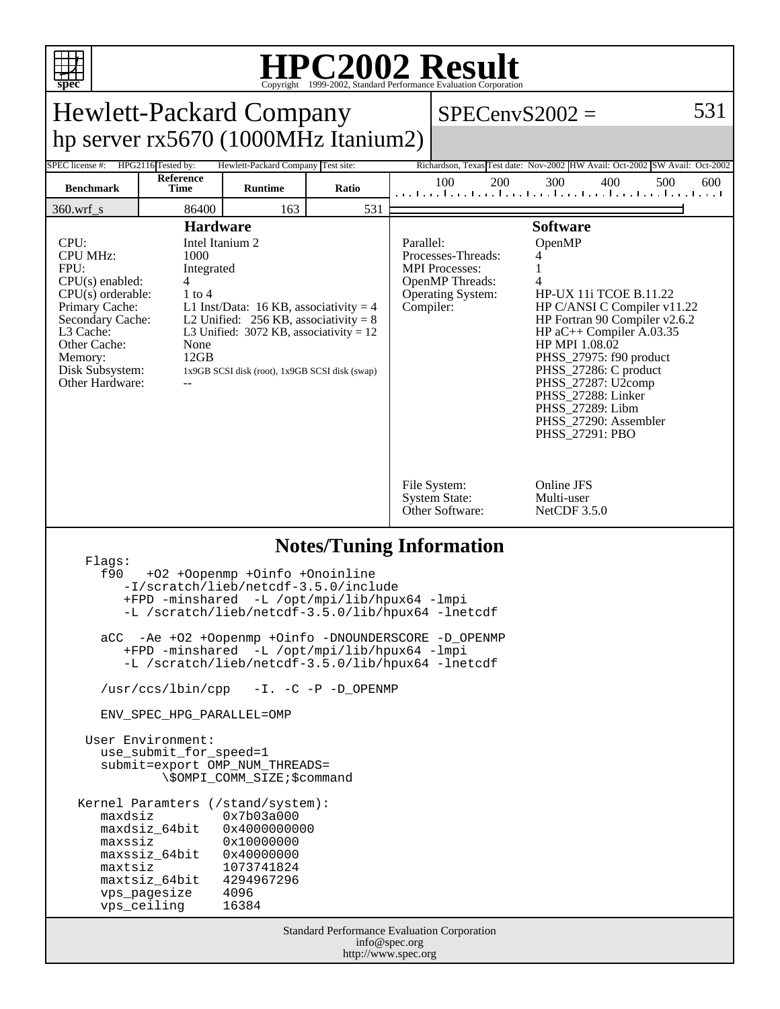

## **HPC2002 Result**

| spec                                                                                                                                                                                                                                                                                                                                                                                                                                                                                                                                                                                                                                                                                                                                                                                                                 |                   |                |       |  | Copyright ©1999-2002, Standard Performance Evaluation Corporation                                                                                                                                                                                                                                                                                                                                                                                                            |                                            |                                                                                    |  |
|----------------------------------------------------------------------------------------------------------------------------------------------------------------------------------------------------------------------------------------------------------------------------------------------------------------------------------------------------------------------------------------------------------------------------------------------------------------------------------------------------------------------------------------------------------------------------------------------------------------------------------------------------------------------------------------------------------------------------------------------------------------------------------------------------------------------|-------------------|----------------|-------|--|------------------------------------------------------------------------------------------------------------------------------------------------------------------------------------------------------------------------------------------------------------------------------------------------------------------------------------------------------------------------------------------------------------------------------------------------------------------------------|--------------------------------------------|------------------------------------------------------------------------------------|--|
| 531<br><b>Hewlett-Packard Company</b><br>$SPECenvS2002 =$                                                                                                                                                                                                                                                                                                                                                                                                                                                                                                                                                                                                                                                                                                                                                            |                   |                |       |  |                                                                                                                                                                                                                                                                                                                                                                                                                                                                              |                                            |                                                                                    |  |
| hp server rx5670 (1000MHz Itanium2)                                                                                                                                                                                                                                                                                                                                                                                                                                                                                                                                                                                                                                                                                                                                                                                  |                   |                |       |  |                                                                                                                                                                                                                                                                                                                                                                                                                                                                              |                                            |                                                                                    |  |
| HPG2116 Tested by:<br>Richardson, Texas Test date: Nov-2002 HW Avail: Oct-2002 SW Avail: Oct-2002<br>SPEC license #:<br>Hewlett-Packard Company Test site:                                                                                                                                                                                                                                                                                                                                                                                                                                                                                                                                                                                                                                                           |                   |                |       |  |                                                                                                                                                                                                                                                                                                                                                                                                                                                                              |                                            |                                                                                    |  |
| <b>Benchmark</b>                                                                                                                                                                                                                                                                                                                                                                                                                                                                                                                                                                                                                                                                                                                                                                                                     | Reference<br>Time | <b>Runtime</b> | Ratio |  | 100<br>200                                                                                                                                                                                                                                                                                                                                                                                                                                                                   | 300<br>400                                 | 500<br>600<br>المتحامين والمتمارين والمتحا وبالمتمار وبالمتحامين والمتمارين والمتح |  |
| 360.wrf_s                                                                                                                                                                                                                                                                                                                                                                                                                                                                                                                                                                                                                                                                                                                                                                                                            | 86400             | 163            | 531   |  |                                                                                                                                                                                                                                                                                                                                                                                                                                                                              |                                            |                                                                                    |  |
| <b>Hardware</b><br>Intel Itanium 2<br>CPU:<br><b>CPU MHz:</b><br>1000<br>FPU:<br>Integrated<br>$CPU(s)$ enabled:<br>4<br>$CPU(s)$ orderable:<br>$1$ to $4$<br>Primary Cache:<br>L1 Inst/Data: 16 KB, associativity = 4<br>Secondary Cache:<br>L2 Unified: $256$ KB, associativity = 8<br>L3 Cache:<br>L3 Unified: $3072$ KB, associativity = 12<br>Other Cache:<br>None<br>12GB<br>Memory:<br>Disk Subsystem:<br>1x9GB SCSI disk (root), 1x9GB SCSI disk (swap)<br>Other Hardware:                                                                                                                                                                                                                                                                                                                                   |                   |                |       |  | <b>Software</b><br>OpenMP<br>Parallel:<br>Processes-Threads:<br>4<br><b>MPI</b> Processes:<br>OpenMP Threads:<br>4<br><b>Operating System:</b><br><b>HP-UX 11i TCOE B.11.22</b><br>Compiler:<br>HP C/ANSI C Compiler v11.22<br>HP Fortran 90 Compiler v2.6.2<br>HP $aC++$ Compiler A.03.35<br>HP MPI 1.08.02<br>PHSS_27975: f90 product<br>PHSS_27286: C product<br>PHSS 27287: U2comp<br>PHSS_27288: Linker<br>PHSS_27289: Libm<br>PHSS_27290: Assembler<br>PHSS_27291: PBO |                                            |                                                                                    |  |
|                                                                                                                                                                                                                                                                                                                                                                                                                                                                                                                                                                                                                                                                                                                                                                                                                      |                   |                |       |  | File System:<br><b>System State:</b><br>Other Software:                                                                                                                                                                                                                                                                                                                                                                                                                      | Online JFS<br>Multi-user<br>NetCDF $3.5.0$ |                                                                                    |  |
| <b>Notes/Tuning Information</b><br>Flags:<br>f90<br>+02 +0openmp +0info +0noinline<br>-I/scratch/lieb/netcdf-3.5.0/include<br>+FPD -minshared -L /opt/mpi/lib/hpux64 -lmpi<br>-L /scratch/lieb/netcdf-3.5.0/lib/hpux64 -lnetcdf<br>-Ae +02 +Oopenmp +0info -DNOUNDERSCORE -D_OPENMP<br>aCC<br>+FPD -minshared -L /opt/mpi/lib/hpux64 -lmpi<br>-L /scratch/lieb/netcdf-3.5.0/lib/hpux64 -lnetcdf<br>/usr/ccs/lbin/cpp -I. -C -P -D_OPENMP<br>ENV SPEC HPG PARALLEL=OMP<br>User Environment:<br>use_submit_for_speed=1<br>submit=export OMP_NUM_THREADS=<br>\\$OMPI_COMM_SIZE;\$command<br>Kernel Paramters (/stand/system):<br>maxdsiz<br>0x7b03a000<br>0x4000000000<br>maxdsiz_64bit<br>maxssiz<br>0x10000000<br>maxssiz_64bit<br>0x40000000<br>1073741824<br>maxtsiz<br>maxtsiz_64bit<br>4294967296<br>vps_pagesize |                   |                |       |  |                                                                                                                                                                                                                                                                                                                                                                                                                                                                              |                                            |                                                                                    |  |
|                                                                                                                                                                                                                                                                                                                                                                                                                                                                                                                                                                                                                                                                                                                                                                                                                      | vps_ceiling       | 4096<br>16384  |       |  |                                                                                                                                                                                                                                                                                                                                                                                                                                                                              |                                            |                                                                                    |  |
| Standard Performance Evaluation Corporation<br>info@spec.org<br>http://www.spec.org                                                                                                                                                                                                                                                                                                                                                                                                                                                                                                                                                                                                                                                                                                                                  |                   |                |       |  |                                                                                                                                                                                                                                                                                                                                                                                                                                                                              |                                            |                                                                                    |  |